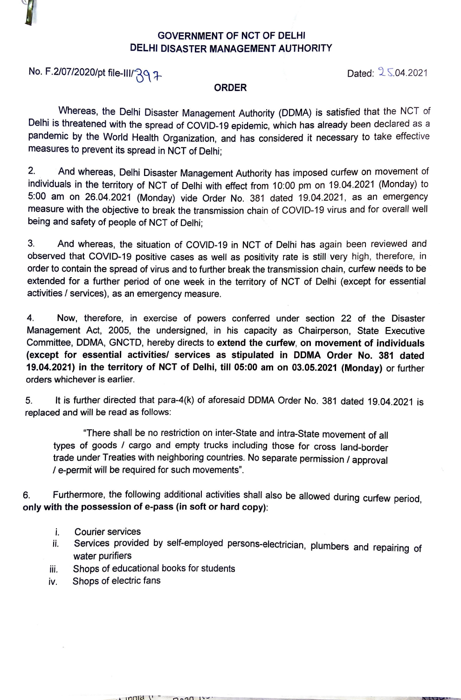

## **GOVERNMENT OF NCT OF DELHI DELHI DISASTER MANAGEMENT AUTHORITY**

No. F.2/07/2020/pt file-III/' $\lambda$ q  $\lambda$ 

## **ORDER**

Whereas, the Delhi Disaster Management Authority (DDMA) is satisfied that the NCT of Delhi is threatened with the spread of COVID-19 epidemic, which has already been declared as a pandemic by the World Health Organization, and has considered it necessary to take effective measures to prevent its spread in NCT of Delhi;

2. And whereas, Delhi Disaster Management Authority has imposed curfew on movement of individuals in the territory of NCT of Delhi with effect from 10:00 pm on 19.04.2021 (Monday) to 5:00 am on 26.04.2021 (Monday) vide Order No. 381 dated 19.04.2021, as an emergency measure with the objective to break the transmission chain of COVID-19 virus and for overall well being and safety of people of NCT of Delhi;

3. And whereas, the situation of COVID-19 in NCT of Delhi has again been reviewed and observed that COVID-19 positive cases as well as positivity rate is still very high, therefore, in order to contain the spread of virus and to further break the transmission chain, curfew needs to be extended for a further period of one week in the territory of NCT of Delhi (except for essential activities/ services), as an emergency measure.

4. **Now,** therefore, in exercise of powers conferred under section 22 of the Disaster Management Act, 2005, the undersigned, in his capacity as Chairperson, State Executive Committee, DDMA, GNCTD, hereby directs to extend the curfew, on movement of individuals **(except for essential activities/ services as stipulated in DDMA Order No. 381 dated**  19.04.2021) in the territory of NCT of Delhi, till 05:00 am on 03.05.2021 (Monday) or further orders whichever is earlier.

5. It is further directed that para-4(k) of aforesaid DDMA Order No. 381 dated 19.04.2021 is replaced and will be read as follows:

"There shall be no restriction on inter-State and intra-State movement of all types of goods / cargo and empty trucks including those for cross land-border trade under Treaties with neighboring countries. No separate permission / approval / e-permif will be required for such movements".

6. Furthermore, the following additional activities shall also be allowed during curfew period, **only with the possession of e-pass (in soft or hard copy):** 

- i. Courier services
- i. Services provided by self-employed persons-electrician, plumbers and repairing of water purifiers
- iii. Shops of educational books for students

 $\cdot$  indid  $\prime$ 

 $0.20$ 

iv. Shops of electric fans